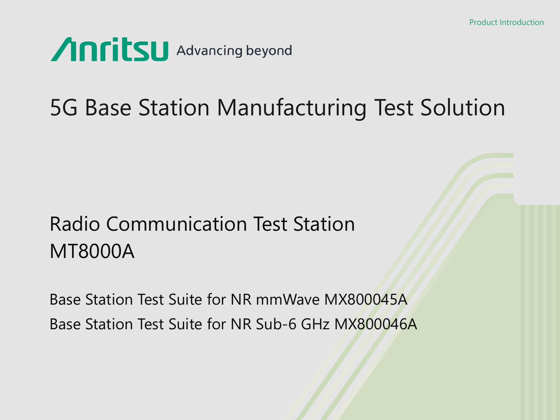

# 5G Base Station Manufacturing Test Solution

# Radio Communication Test Station MT8000A

Base Station Test Suite for NR mmWave MX800045A Base Station Test Suite for NR Sub-6 GHz MX800046A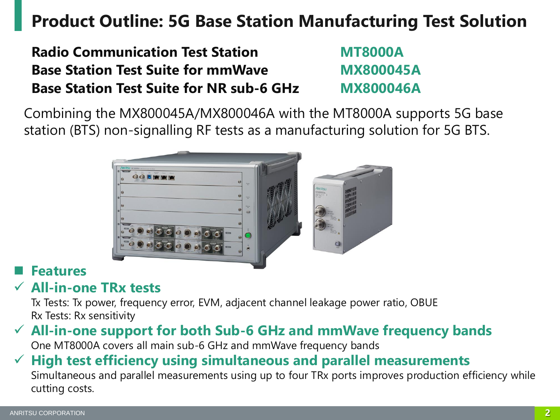### **Product Outline: 5G Base Station Manufacturing Test Solution**

**Radio Communication Test Station MT8000A Base Station Test Suite for mmWave MX800045A Base Station Test Suite for NR sub-6 GHz MX800046A**

Combining the MX800045A/MX800046A with the MT8000A supports 5G base station (BTS) non-signalling RF tests as a manufacturing solution for 5G BTS.



### **Features**

### ✓ **All-in-one TRx tests**

Tx Tests: Tx power, frequency error, EVM, adjacent channel leakage power ratio, OBUE Rx Tests: Rx sensitivity

### ✓ **All-in-one support for both Sub-6 GHz and mmWave frequency bands**

One MT8000A covers all main sub-6 GHz and mmWave frequency bands

### ✓ **High test efficiency using simultaneous and parallel measurements**

Simultaneous and parallel measurements using up to four TRx ports improves production efficiency while cutting costs.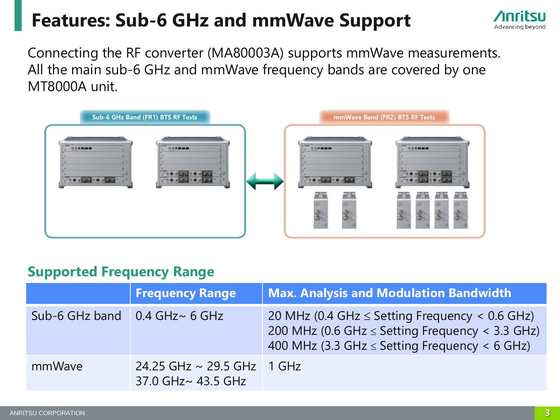### **Features: Sub-6 GHz and mmWave Support**



Connecting the RF converter (MA80003A) supports mmWave measurements. All the main sub-6 GHz and mmWave frequency bands are covered by one MT8000A unit.



### **Supported Frequency Range**

|                | <b>Frequency Range</b>                                | <b>Max. Analysis and Modulation Bandwidth</b>                                                                                                                          |
|----------------|-------------------------------------------------------|------------------------------------------------------------------------------------------------------------------------------------------------------------------------|
| Sub-6 GHz band | $0.4$ GHz $\sim$ 6 GHz                                | 20 MHz (0.4 GHz $\le$ Setting Frequency < 0.6 GHz)<br>200 MHz (0.6 GHz $\le$ Setting Frequency $\lt$ 3.3 GHz)<br>400 MHz (3.3 GHz $\le$ Setting Frequency $\lt$ 6 GHz) |
| mmWave         | 24.25 GHz $\sim$ 29.5 GHz 1 GHz<br>37.0 GHz~ 43.5 GHz |                                                                                                                                                                        |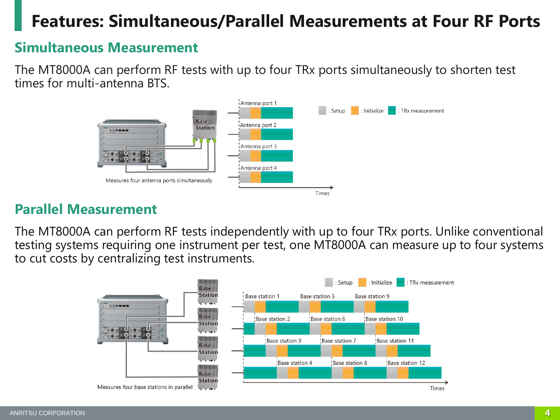### **Features: Simultaneous/Parallel Measurements at Four RF Ports**

### **Simultaneous Measurement**

The MT8000A can perform RF tests with up to four TRx ports simultaneously to shorten test times for multi-antenna BTS.



### **Parallel Measurement**

The MT8000A can perform RF tests independently with up to four TRx ports. Unlike conventional testing systems requiring one instrument per test, one MT8000A can measure up to four systems to cut costs by centralizing test instruments.

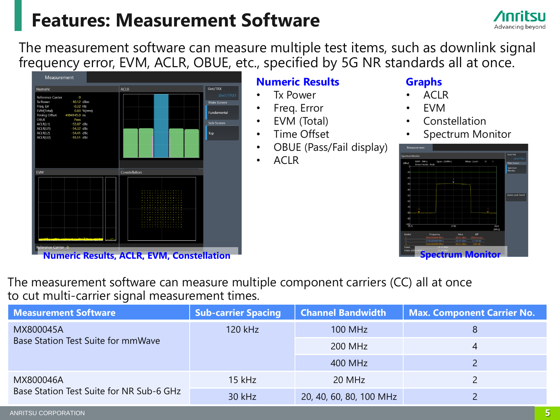### **Features: Measurement Software**



The measurement software can measure multiple test items, such as downlink signal frequency error, EVM, ACLR, OBUE, etc., specified by 5G NR standards all at once.



#### **Numeric Results**

- Tx Power
- Freq. Error
- EVM (Total)
- Time Offset
- OBUE (Pass/Fail display)
- ACLR

#### **Graphs**

- ACLR
- EVM
- **Constellation**
- Spectrum Monitor



The measurement software can measure multiple component carriers (CC) all at once to cut multi-carrier signal measurement times.

| <b>Measurement Software</b>              | <b>Sub-carrier Spacing</b> | <b>Channel Bandwidth</b> | <b>Max. Component Carrier No.</b> |
|------------------------------------------|----------------------------|--------------------------|-----------------------------------|
| MX800045A                                | 120 kHz                    | <b>100 MHz</b>           |                                   |
| Base Station Test Suite for mmWave       |                            | 200 MHz                  | 4                                 |
|                                          |                            | 400 MHz                  |                                   |
| MX800046A                                | $15$ kHz                   | 20 MHz                   |                                   |
| Base Station Test Suite for NR Sub-6 GHz | 30 kHz                     | 20, 40, 60, 80, 100 MHz  |                                   |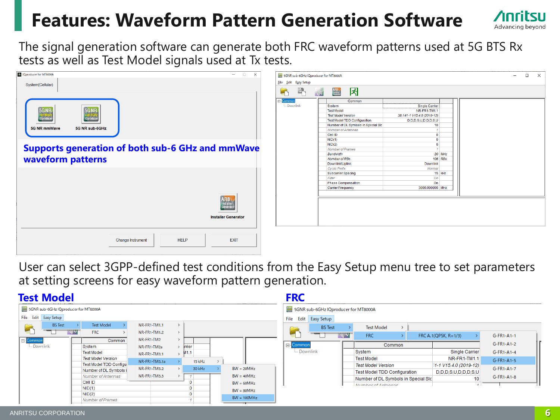### **Features: Waveform Pattern Generation Software**



| IQproducer for MT8000A<br>$\qquad \qquad \Box$<br>$\times$                   | 5GNR sub-6GHz IQproducer for MT8000A                                                                                                                                                                                   | $\Box$ $\times$<br>$\overline{\phantom{0}}$ |
|------------------------------------------------------------------------------|------------------------------------------------------------------------------------------------------------------------------------------------------------------------------------------------------------------------|---------------------------------------------|
| System(Cellular)                                                             | Eile Edit Easy Setup                                                                                                                                                                                                   |                                             |
|                                                                              | 吗<br>因<br>ARB<br>Installer<br>W<br>$\blacksquare$                                                                                                                                                                      |                                             |
| <b>5GNR</b><br>5GNR<br><b>ImmWave</b><br>IQproducer<br><b>IQproducer</b>     | Common<br>Common<br>Downlink<br>Single Carrier<br>System<br>NR-FR1-TM1.1<br><b>Test Model</b><br><b>Test Model Version</b><br>38.141-1 V15.4.0 (2019-12)<br><b>Test Model TDD Configuration</b><br>D,D,D,S,U,D,D,D,S,U |                                             |
| <b>5G NR mmWave</b><br>5G NR sub-6GHz                                        | Number of DL Symbols in Special SIc<br>10 <sub>1</sub><br>Number of Antennas<br>$\mathcal{A}$<br>Cell ID<br>$\overline{0}$<br>NID(1)<br>$\overline{0}$                                                                 |                                             |
| <b>Supports generation of both sub-6 GHz and mmWave</b><br>waveform patterns | NID(2)<br>$\overline{0}$<br><b>Number of Frames</b><br>$\overline{1}$<br>20 MHz<br>Bandwidth<br>106 RBs<br><b>Number of RBs</b>                                                                                        |                                             |
|                                                                              | <b>Downlink/Uplink</b><br><b>Downlink</b><br><b>Cyclic Prefix</b><br>Normal<br>15 KHz<br>Subcarrier Spacing<br>Filter<br>On                                                                                            |                                             |
|                                                                              | <b>On</b><br><b>Phase Compensation</b><br><b>Carrier Frequency</b><br>3000.000000 MHz                                                                                                                                  |                                             |
| <b>ARB</b><br>Installer<br>Generator<br><b>Installer Generator</b>           |                                                                                                                                                                                                                        |                                             |
| <b>HELP</b><br><b>EXIT</b><br>Change Instrument                              |                                                                                                                                                                                                                        |                                             |

User can select 3GPP-defined test conditions from the Easy Setup menu tree to set parameters at setting screens for easy waveform pattern generation.

| <b>Test Model</b>                                                                                                                                                                                                                                                                                                        |                                                                                                                                                                            | <b>FRC</b>                                                                                                                                                                                                                                                                                                                                                                                                                                                                  |                                                                                        |
|--------------------------------------------------------------------------------------------------------------------------------------------------------------------------------------------------------------------------------------------------------------------------------------------------------------------------|----------------------------------------------------------------------------------------------------------------------------------------------------------------------------|-----------------------------------------------------------------------------------------------------------------------------------------------------------------------------------------------------------------------------------------------------------------------------------------------------------------------------------------------------------------------------------------------------------------------------------------------------------------------------|----------------------------------------------------------------------------------------|
| 5GNR sub-6GHz lQproducer for MT8000A<br>File Edit Easy Setup<br><b>Test Model</b><br><b>BS</b> Test<br>F<br>'W <sup>w</sup><br><b>FRC</b><br>E-Common<br>-- Downlink<br>System<br><b>Test Model</b><br><b>Test Model Version</b><br><b>Test Model TDD Configu</b><br>Number of DL Symbols i<br><b>Number of Antennas</b> | NR-FR1-TM1.1<br>NR-FR1-TM1.2<br>NR-FR1-TM2<br>Common<br>trrier<br>NR-FR1-TM2a<br>M1.1<br>NR-FR1-TM3.1<br>NR-FR1-TM3.1a<br>15 kHz<br>NR-FR1-TM3.2<br>30 kHz<br>NR-FR1-TM3.3 | 5GNR sub-6GHz lQproducer for MT8000A<br>Edit Easy Setup<br>File<br><b>BS</b> Test<br><b>Test Model</b><br>W<br>FRC<br>FRC A.1(QPSK, $R=1/3$ )<br>Common<br><b>E</b> -Common<br>Downlink<br>Single Carrier<br>System<br><b>Test Model</b><br>NR-FR1-TM1.1<br>$11 - 1$ V15.4.0 (2019-12)<br><b>Test Model Version</b><br>$BW = 20MHz$<br><b>Test Model TDD Configuration</b><br>D,D,D,S,U,D,D,D,S,U<br>$BW = 40MHz$<br>Number of DL Symbols in Special SIc<br>10 <sup>1</sup> | G-FR1-A1-1<br>$G-FR1-A1-2$<br>$G-FR1-A1-4$<br>G-FR1-A1-5<br>G-FR1-A1-7<br>$G-FR1-A1-8$ |
| Cell ID<br>NID(1)<br>NID(2)<br><b>Number of Frames</b>                                                                                                                                                                                                                                                                   |                                                                                                                                                                            | $BW = 60MHz$<br>Number of Antonnas<br>$\sim$<br>$BW = 80MHz$<br>$BW = 100MHz$                                                                                                                                                                                                                                                                                                                                                                                               |                                                                                        |

Advancing beyond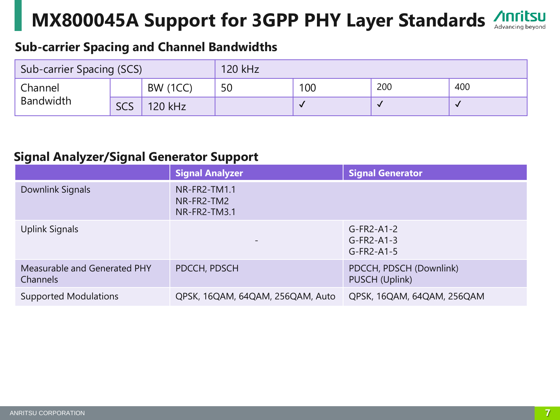# **MX800045A Support for 3GPP PHY Layer Standards**

#### **Sub-carrier Spacing and Channel Bandwidths**

| Sub-carrier Spacing (SCS) |            | 120 kHz         |    |     |     |     |  |
|---------------------------|------------|-----------------|----|-----|-----|-----|--|
| Channel                   |            | <b>BW (1CC)</b> | 50 | 100 | 200 | 400 |  |
| <b>Bandwidth</b>          | <b>SCS</b> | 120 kHz         |    |     |     | v   |  |

#### **Signal Analyzer/Signal Generator Support**

|                                          | <b>Signal Analyzer</b>                     | <b>Signal Generator</b>                       |
|------------------------------------------|--------------------------------------------|-----------------------------------------------|
| Downlink Signals                         | NR-FR2-TM1.1<br>NR-FR2-TM2<br>NR-FR2-TM3.1 |                                               |
| Uplink Signals                           |                                            | $G-FR2-A1-2$<br>$G-FR2-A1-3$<br>$G$ -FR2-A1-5 |
| Measurable and Generated PHY<br>Channels | PDCCH, PDSCH                               | PDCCH, PDSCH (Downlink)<br>PUSCH (Uplink)     |
| <b>Supported Modulations</b>             | QPSK, 16QAM, 64QAM, 256QAM, Auto           | QPSK, 16QAM, 64QAM, 256QAM                    |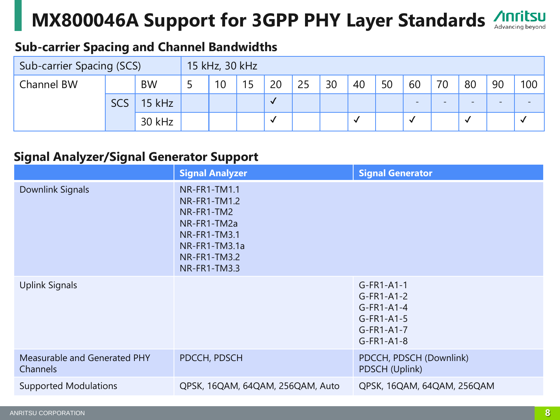# **MX800046A Support for 3GPP PHY Layer Standards**

#### **Sub-carrier Spacing and Channel Bandwidths**

| Sub-carrier Spacing (SCS) |            | 15 kHz, 30 kHz |  |    |     |              |    |    |    |    |                          |                          |                          |                          |     |
|---------------------------|------------|----------------|--|----|-----|--------------|----|----|----|----|--------------------------|--------------------------|--------------------------|--------------------------|-----|
| Channel BW                |            | <b>BW</b>      |  | 10 | 1 F | 20           | 25 | 30 | 40 | 50 | 60                       | 70                       | 80                       | 90                       | 100 |
|                           | <b>SCS</b> | $15$ kHz       |  |    |     | $\checkmark$ |    |    |    |    | $\overline{\phantom{0}}$ | $\overline{\phantom{0}}$ | $\overline{\phantom{0}}$ | $\overline{\phantom{0}}$ |     |
|                           |            | 30 kHz         |  |    |     | <b>V</b>     |    |    |    |    |                          |                          |                          |                          |     |

#### **Signal Analyzer/Signal Generator Support**

|                                          | <b>Signal Analyzer</b>                                                                                                                          | <b>Signal Generator</b>                                                                      |  |  |  |
|------------------------------------------|-------------------------------------------------------------------------------------------------------------------------------------------------|----------------------------------------------------------------------------------------------|--|--|--|
| <b>Downlink Signals</b>                  | <b>NR-FR1-TM1.1</b><br><b>NR-FR1-TM1.2</b><br>NR-FR1-TM2<br>NR-FR1-TM2a<br>NR-FR1-TM3.1<br>NR-FR1-TM3.1a<br><b>NR-FR1-TM3.2</b><br>NR-FR1-TM3.3 |                                                                                              |  |  |  |
| <b>Uplink Signals</b>                    |                                                                                                                                                 | $G-FR1-A1-1$<br>$G-FR1-A1-2$<br>$G-FR1-A1-4$<br>$G-FR1-A1-5$<br>$G-FR1-A1-7$<br>$G-FR1-A1-8$ |  |  |  |
| Measurable and Generated PHY<br>Channels | PDCCH, PDSCH                                                                                                                                    | PDCCH, PDSCH (Downlink)<br>PDSCH (Uplink)                                                    |  |  |  |
| <b>Supported Modulations</b>             | QPSK, 16QAM, 64QAM, 256QAM, Auto                                                                                                                | QPSK, 16QAM, 64QAM, 256QAM                                                                   |  |  |  |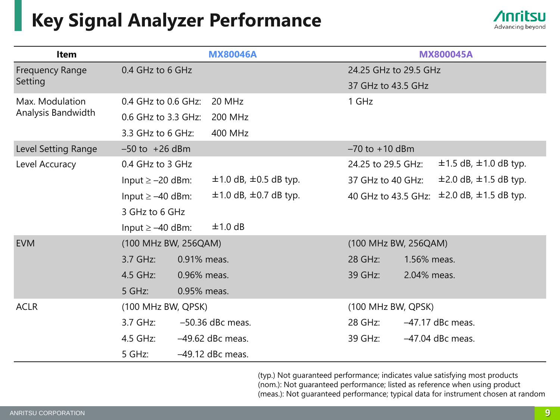### **Key Signal Analyzer Performance**



| <b>Item</b>            | <b>MX80046A</b>       |                                 | <b>MX800045A</b>      |             |                                 |  |
|------------------------|-----------------------|---------------------------------|-----------------------|-------------|---------------------------------|--|
| <b>Frequency Range</b> | 0.4 GHz to 6 GHz      |                                 | 24.25 GHz to 29.5 GHz |             |                                 |  |
| Setting                |                       |                                 | 37 GHz to 43.5 GHz    |             |                                 |  |
| Max. Modulation        | 0.4 GHz to 0.6 GHz:   | 20 MHz                          | 1 GHz                 |             |                                 |  |
| Analysis Bandwidth     | 0.6 GHz to 3.3 GHz:   | 200 MHz                         |                       |             |                                 |  |
|                        | 3.3 GHz to 6 GHz:     | 400 MHz                         |                       |             |                                 |  |
| Level Setting Range    | $-50$ to $+26$ dBm    |                                 | $-70$ to $+10$ dBm    |             |                                 |  |
| Level Accuracy         | 0.4 GHz to 3 GHz      |                                 | 24.25 to 29.5 GHz:    |             | $\pm$ 1.5 dB, $\pm$ 1.0 dB typ. |  |
|                        | Input $\ge$ -20 dBm:  | $\pm$ 1.0 dB, $\pm$ 0.5 dB typ. | 37 GHz to 40 GHz:     |             | $\pm 2.0$ dB, $\pm 1.5$ dB typ. |  |
|                        | Input $\geq -40$ dBm: | $\pm$ 1.0 dB, $\pm$ 0.7 dB typ. | 40 GHz to 43.5 GHz:   |             | $\pm 2.0$ dB, $\pm 1.5$ dB typ. |  |
|                        | 3 GHz to 6 GHz        |                                 |                       |             |                                 |  |
|                        | Input $\geq -40$ dBm: | ±1.0 dB                         |                       |             |                                 |  |
| <b>EVM</b>             | (100 MHz BW, 256QAM)  |                                 | (100 MHz BW, 256QAM)  |             |                                 |  |
|                        | 3.7 GHz:              | 0.91% meas.                     | 28 GHz:               | 1.56% meas. |                                 |  |
|                        | 4.5 GHz:              | 0.96% meas.                     | 39 GHz:               | 2.04% meas. |                                 |  |
|                        | 5 GHz:                | 0.95% meas.                     |                       |             |                                 |  |
| <b>ACLR</b>            | (100 MHz BW, QPSK)    |                                 | (100 MHz BW, QPSK)    |             |                                 |  |
|                        | 3.7 GHz:              | $-50.36$ dBc meas.              | 28 GHz:               |             | $-47.17$ dBc meas.              |  |
|                        | 4.5 GHz:              | $-49.62$ dBc meas.              | 39 GHz:               |             | $-47.04$ dBc meas.              |  |
|                        | 5 GHz:                | $-49.12$ dBc meas.              |                       |             |                                 |  |

(typ.) Not guaranteed performance; indicates value satisfying most products (nom.): Not guaranteed performance; listed as reference when using product (meas.): Not guaranteed performance; typical data for instrument chosen at random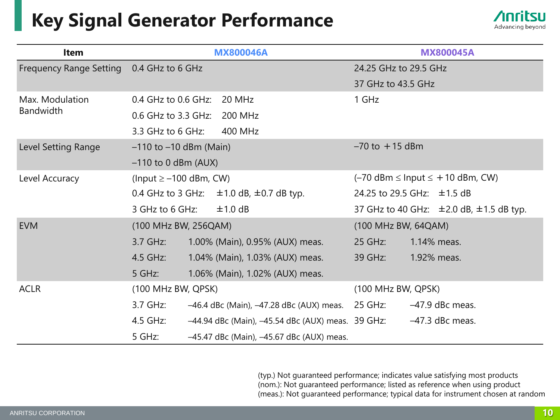### **Key Signal Generator Performance**



| <b>Item</b>                                |                             | <b>MX800046A</b>                                  | <b>MX800045A</b>                            |                                                   |  |
|--------------------------------------------|-----------------------------|---------------------------------------------------|---------------------------------------------|---------------------------------------------------|--|
| Frequency Range Setting   0.4 GHz to 6 GHz |                             |                                                   | 24.25 GHz to 29.5 GHz                       |                                                   |  |
|                                            |                             |                                                   | 37 GHz to 43.5 GHz                          |                                                   |  |
| Max. Modulation                            | $0.4$ GHz to $0.6$ GHz:     | 20 MHz                                            | 1 GHz                                       |                                                   |  |
| <b>Bandwidth</b>                           | 0.6 GHz to 3.3 GHz: 200 MHz |                                                   |                                             |                                                   |  |
|                                            | 3.3 GHz to 6 GHz:           | 400 MHz                                           |                                             |                                                   |  |
| Level Setting Range                        | $-110$ to $-10$ dBm (Main)  |                                                   | $-70$ to $+15$ dBm                          |                                                   |  |
|                                            | $-110$ to 0 dBm (AUX)       |                                                   |                                             |                                                   |  |
| Level Accuracy                             | (Input $\ge$ -100 dBm, CW)  |                                                   | $(-70$ dBm $\leq$ lnput $\leq$ +10 dBm, CW) |                                                   |  |
|                                            |                             | 0.4 GHz to 3 GHz: $\pm$ 1.0 dB, $\pm$ 0.7 dB typ. | 24.25 to 29.5 GHz: $\pm$ 1.5 dB             |                                                   |  |
|                                            | 3 GHz to 6 GHz:             | $±1.0$ dB                                         |                                             | 37 GHz to 40 GHz: $\pm$ 2.0 dB, $\pm$ 1.5 dB typ. |  |
| <b>EVM</b>                                 | (100 MHz BW, 256QAM)        |                                                   | (100 MHz BW, 64QAM)                         |                                                   |  |
|                                            | $3.7$ GHz:                  | 1.00% (Main), 0.95% (AUX) meas.                   | 25 GHz:                                     | 1.14% meas.                                       |  |
|                                            | $4.5$ GHz:                  | 1.04% (Main), 1.03% (AUX) meas.                   | 39 GHz:                                     | 1.92% meas.                                       |  |
|                                            | 5 GHz:                      | 1.06% (Main), 1.02% (AUX) meas.                   |                                             |                                                   |  |
| <b>ACLR</b>                                | (100 MHz BW, QPSK)          |                                                   | (100 MHz BW, QPSK)                          |                                                   |  |
|                                            | 3.7 GHz:                    | $-46.4$ dBc (Main), $-47.28$ dBc (AUX) meas.      | 25 GHz:                                     | -47.9 dBc meas.                                   |  |
|                                            | 4.5 GHz:                    | -44.94 dBc (Main), -45.54 dBc (AUX) meas. 39 GHz: |                                             | $-47.3$ dBc meas.                                 |  |
|                                            | 5 GHz:                      | -45.47 dBc (Main), -45.67 dBc (AUX) meas.         |                                             |                                                   |  |

(typ.) Not guaranteed performance; indicates value satisfying most products (nom.): Not guaranteed performance; listed as reference when using product (meas.): Not guaranteed performance; typical data for instrument chosen at random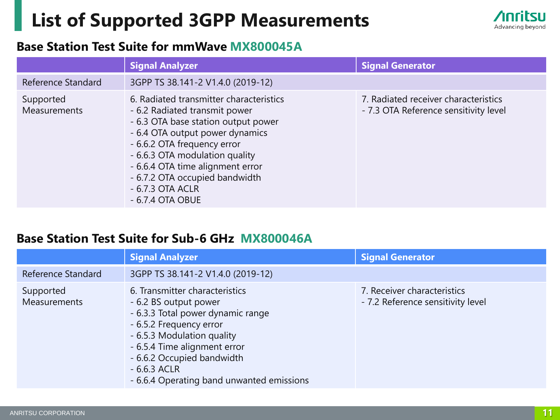### **List of Supported 3GPP Measurements**



#### **Base Station Test Suite for mmWave MX800045A**

|                                  | <b>Signal Analyzer</b>                                                                                                                                                                                                                                                                                                              | <b>Signal Generator</b>                                                       |
|----------------------------------|-------------------------------------------------------------------------------------------------------------------------------------------------------------------------------------------------------------------------------------------------------------------------------------------------------------------------------------|-------------------------------------------------------------------------------|
| Reference Standard               | 3GPP TS 38.141-2 V1.4.0 (2019-12)                                                                                                                                                                                                                                                                                                   |                                                                               |
| Supported<br><b>Measurements</b> | 6. Radiated transmitter characteristics<br>- 6.2 Radiated transmit power<br>- 6.3 OTA base station output power<br>- 6.4 OTA output power dynamics<br>- 6.6.2 OTA frequency error<br>- 6.6.3 OTA modulation quality<br>- 6.6.4 OTA time alignment error<br>- 6.7.2 OTA occupied bandwidth<br>$-6.7.3$ OTA ACLR<br>$-6.7.4$ OTA OBUE | 7. Radiated receiver characteristics<br>- 7.3 OTA Reference sensitivity level |

#### **Base Station Test Suite for Sub-6 GHz MX800046A**

|                                  | <b>Signal Analyzer</b>                                                                                                                                                                                                                                                            | <b>Signal Generator</b>                                          |
|----------------------------------|-----------------------------------------------------------------------------------------------------------------------------------------------------------------------------------------------------------------------------------------------------------------------------------|------------------------------------------------------------------|
| Reference Standard               | 3GPP TS 38.141-2 V1.4.0 (2019-12)                                                                                                                                                                                                                                                 |                                                                  |
| Supported<br><b>Measurements</b> | 6. Transmitter characteristics<br>- 6.2 BS output power<br>- 6.3.3 Total power dynamic range<br>- 6.5.2 Frequency error<br>- 6.5.3 Modulation quality<br>- 6.5.4 Time alignment error<br>- 6.6.2 Occupied bandwidth<br>$-6.6.3$ ACLR<br>- 6.6.4 Operating band unwanted emissions | 7. Receiver characteristics<br>- 7.2 Reference sensitivity level |